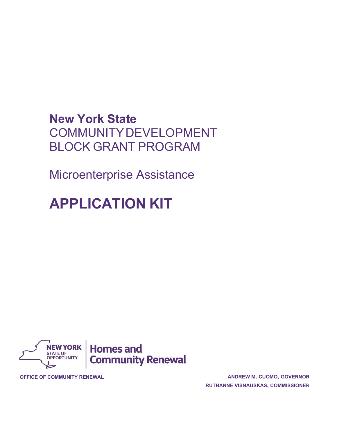## **New York State** COMMUNITYDEVELOPMENT BLOCK GRANT PROGRAM

Microenterprise Assistance

# **APPLICATION KIT**



**OFFICE OF COMMUNITY RENEWAL ANDREW M. CUOMO, GOVERNOR RUTHANNE VISNAUSKAS, COMMISSIONER**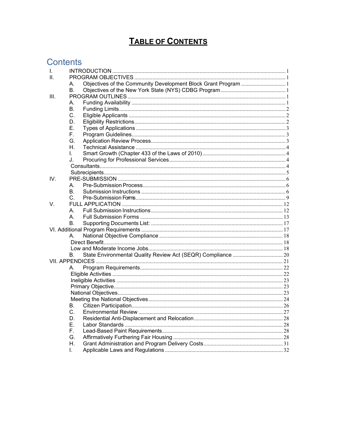## **TABLE OF CONTENTS**

## **Contents**

| I.   |           |                                                                |  |
|------|-----------|----------------------------------------------------------------|--|
| ΙΙ.  |           |                                                                |  |
|      | А.        | Objectives of the Community Development Block Grant Program  1 |  |
|      | В.        |                                                                |  |
| III. |           |                                                                |  |
|      | A.        |                                                                |  |
|      | В.        |                                                                |  |
|      | C.        |                                                                |  |
|      | D.        |                                                                |  |
|      | Е.        |                                                                |  |
|      | F.        |                                                                |  |
|      | G.        |                                                                |  |
|      | Η.        |                                                                |  |
|      | L.        |                                                                |  |
|      | J.        |                                                                |  |
|      |           |                                                                |  |
|      |           |                                                                |  |
| IV.  |           |                                                                |  |
|      | A.        |                                                                |  |
|      | В.        |                                                                |  |
|      | C.        |                                                                |  |
| V.   |           |                                                                |  |
|      | A.        |                                                                |  |
|      | A.        |                                                                |  |
|      | В.        |                                                                |  |
|      |           |                                                                |  |
|      | А.        |                                                                |  |
|      |           |                                                                |  |
|      |           |                                                                |  |
|      | В.        |                                                                |  |
|      |           |                                                                |  |
|      | А.        |                                                                |  |
|      |           |                                                                |  |
|      |           |                                                                |  |
|      |           |                                                                |  |
|      |           |                                                                |  |
|      |           |                                                                |  |
|      | <b>B.</b> |                                                                |  |
|      | C.        |                                                                |  |
|      | D.        |                                                                |  |
|      | Е.        |                                                                |  |
|      | Е.        |                                                                |  |
|      | G.        |                                                                |  |
|      | Η.        |                                                                |  |
|      | L.        |                                                                |  |
|      |           |                                                                |  |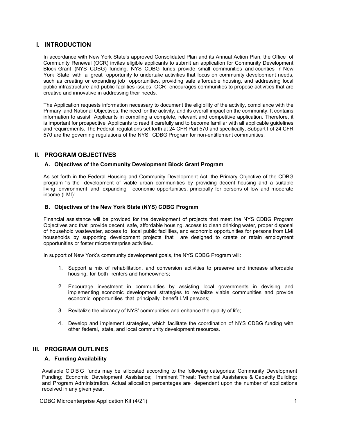## <span id="page-2-0"></span>**I. INTRODUCTION**

In accordance with New York State's approved Consolidated Plan and its Annual Action Plan, the Office of Community Renewal (OCR) invites eligible applicants to submit an application for Community Development Block Grant (NYS CDBG) funding. NYS CDBG funds provide small communities and counties in New York State with a great opportunity to undertake activities that focus on community development needs, such as creating or expanding job opportunities, providing safe affordable housing, and addressing local public infrastructure and public facilities issues. OCR encourages communities to propose activities that are creative and innovative in addressing their needs.

The Application requests information necessary to document the eligibility of the activity, compliance with the Primary and National Objectives, the need for the activity, and its overall impact on the community. It contains information to assist Applicants in compiling a complete, relevant and competitive application. Therefore, it is important for prospective Applicants to read it carefully and to become familiar with all applicable guidelines and requirements. The Federal regulations set forth at 24 CFR Part 570 and specifically, Subpart I of 24 CFR 570 are the governing regulations of the NYS CDBG Program for non-entitlement communities.

## <span id="page-2-1"></span>**II. PROGRAM OBJECTIVES**

#### <span id="page-2-2"></span>**A. Objectives of the Community Development Block Grant Program**

As set forth in the Federal Housing and Community Development Act, the Primary Objective of the CDBG program "is the development of viable urban communities by providing decent housing and a suitable living environment and expanding economic opportunities, principally for persons of low and moderate income (LMI)".

#### <span id="page-2-3"></span>**B. Objectives of the New York State (NYS) CDBG Program**

Financial assistance will be provided for the development of projects that meet the NYS CDBG Program Objectives and that provide decent, safe, affordable housing, access to clean drinking water, proper disposal of household wastewater, access to local public facilities, and economic opportunities for persons from LMI households by supporting development projects that are designed to create or retain employment opportunities or foster microenterprise activities.

In support of New York's community development goals, the NYS CDBG Program will:

- 1. Support a mix of rehabilitation, and conversion activities to preserve and increase affordable housing, for both renters and homeowners;
- 2. Encourage investment in communities by assisting local governments in devising and implementing economic development strategies to revitalize viable communities and provide economic opportunities that principally benefit LMI persons;
- 3. Revitalize the vibrancy of NYS' communities and enhance the quality of life;
- 4. Develop and implement strategies, which facilitate the coordination of NYS CDBG funding with other federal, state, and local community development resources.

## <span id="page-2-4"></span>**III. PROGRAM OUTLINES**

#### <span id="page-2-5"></span>**A. Funding Availability**

Available CDBG funds may be allocated according to the following categories: Community Development Funding; Economic Development Assistance; Imminent Threat; Technical Assistance & Capacity Building; and Program Administration. Actual allocation percentages are dependent upon the number of applications received in any given year.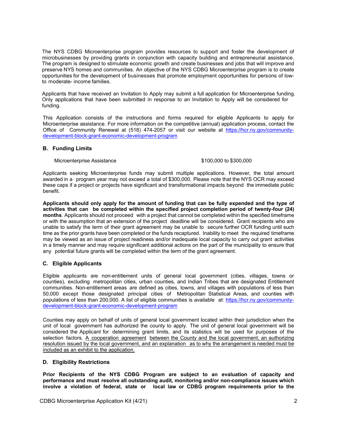The NYS CDBG Microenterprise program provides resources to support and foster the development of microbusinesses by providing grants in conjunction with capacity building and entrepreneurial assistance. The program is designed to stimulate economic growth and create businesses and jobs that will improve and preserve NYS homes and communities. An objective of the NYS CDBG Microenterprise program is to create opportunities for the development of businesses that promote employment opportunities for persons of lowto moderate- income families.

Applicants that have received an Invitation to Apply may submit a full application for Microenterprise funding. Only applications that have been submitted in response to an Invitation to Apply will be considered for funding.

This Application consists of the instructions and forms required for eligible Applicants to apply for Microenterprise assistance. For more information on the competitive (annual) application process, contact the Office of Community Renewal at (518) 474-2057 or visit our website at [https://hcr.ny.gov/community](https://hcr.ny.gov/community-development-block-grant-economic-development-program)[development-block-grant-economic-development-program](https://hcr.ny.gov/community-development-block-grant-economic-development-program)

#### <span id="page-3-0"></span>**B. Funding Limits**

Microenterprise Assistance **\$100,000 to \$300,000** 

Applicants seeking Microenterprise funds may submit multiple applications. However, the total amount awarded in a program year may not exceed a total of \$300,000. Please note that the NYS OCR may exceed these caps if a project or projects have significant and transformational impacts beyond the immediate public benefit.

**Applicants should only apply for the amount of funding that can be fully expended and the type of activities that can be completed within the specified project completion period of twenty-four (24) months**. Applicants should not proceed with a project that cannot be completed within the specified timeframe or with the assumption that an extension of the project deadline will be considered. Grant recipients who are unable to satisfy the term of their grant agreement may be unable to secure further OCR funding until such time as the prior grants have been completed or the funds recaptured. Inability to meet the required timeframe may be viewed as an issue of project readiness and/or inadequate local capacity to carry out grant activities in a timely manner and may require significant additional actions on the part of the municipality to ensure that any potential future grants will be completed within the term of the grant agreement.

## <span id="page-3-1"></span>**C. Eligible Applicants**

Eligible applicants are non-entitlement units of general local government (cities, villages, towns or counties), excluding metropolitan cities, urban counties, and Indian Tribes that are designated Entitlement communities. Non-entitlement areas are defined as cities, towns, and villages with populations of less than 50,000 except those designated principal cities of Metropolitan Statistical Areas, and counties with populations of less than 200,000. A list of eligible communities is available at: [https://hcr.ny.gov/community](https://hcr.ny.gov/community-development-block-grant-economic-development-program)[development-block-grant-economic-development-program](https://hcr.ny.gov/community-development-block-grant-economic-development-program)

Counties may apply on behalf of units of general local government located within their jurisdiction when the unit of local government has authorized the county to apply. The unit of general local government will be considered the Applicant for determining grant limits, and its statistics will be used for purposes of the selection factors. A cooperation agreement between the County and the local government, an authorizing resolution issued by the local government, and an explanation as to why the arrangement is needed must be included as an exhibit to the application.

#### <span id="page-3-2"></span>**D. Eligibility Restrictions**

**Prior Recipients of the NYS CDBG Program are subject to an evaluation of capacity and performance and must resolve all outstanding audit, monitoring and/or non-compliance issues which involve a violation of federal, state or local law or CDBG program requirements prior to the**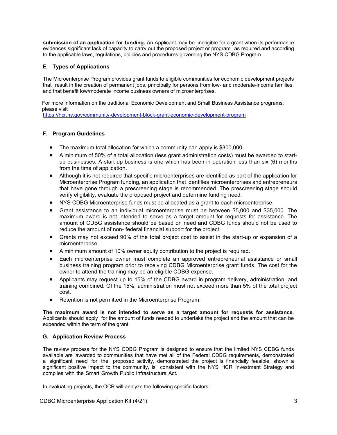**submission of an application for funding.** An Applicant may be ineligible for a grant when its performance evidences significant lack of capacity to carry out the proposed project or program as required and according to the applicable laws, regulations, policies and procedures governing the NYS CDBG Program.

## <span id="page-4-0"></span>**E. Types of Applications**

The Microenterprise Program provides grant funds to eligible communities for economic development projects that result in the creation of permanent jobs, principally for persons from low- and moderate-income families, and that benefit low/moderate income business owners of microenterprises.

For more information on the traditional Economic Development and Small Business Assistance programs, please visit

<https://hcr.ny.gov/community-development-block-grant-economic-development-program>

#### <span id="page-4-1"></span>**F. Program Guidelines**

- The maximum total allocation for which a community can apply is \$300,000.
- A minimum of 50% of a total allocation (less grant administration costs) must be awarded to startup businesses. A start up business is one which has been in operation less than six (6) months from the time of application.
- Although it is not required that specific microenterprises are identified as part of the application for Microenterprise Program funding, an application that identifies microenterprises and entrepreneurs that have gone through a prescreening stage is recommended. The prescreening stage should verify eligibility, evaluate the proposed project and determine funding need.
- NYS CDBG Microenterprise funds must be allocated as a grant to each microenterprise.
- Grant assistance to an individual microenterprise must be between \$5,000 and \$35,000. The maximum award is not intended to serve as a target amount for requests for assistance. The amount of CDBG assistance should be based on need and CDBG funds should not be used to reduce the amount of non- federal financial support for the project.
- Grants may not exceed 90% of the total project cost to assist in the start-up or expansion of a microenterprise.
- A minimum amount of 10% owner equity contribution to the project is required.
- Each microenterprise owner must complete an approved entrepreneurial assistance or small business training program prior to receiving CDBG Microenterprise grant funds. The cost for the owner to attend the training may be an eligible CDBG expense.
- Applicants may request up to 15% of the CDBG award in program delivery, administration, and training combined. Of the 15%, administration must not exceed more than 5% of the total project cost.
- Retention is not permitted in the Microenterprise Program.

**The maximum award is not intended to serve as a target amount for requests for assistance.** Applicants should apply for the amount of funds needed to undertake the project and the amount that can be expended within the term of the grant.

## <span id="page-4-2"></span>**G. Application Review Process**

The review process for the NYS CDBG Program is designed to ensure that the limited NYS CDBG funds available are awarded to communities that have met all of the Federal CDBG requirements, demonstrated a significant need for the proposed activity, demonstrated the project is financially feasible, shown a significant positive impact to the community, is consistent with the NYS HCR Investment Strategy and complies with the Smart Growth Public Infrastructure Act.

In evaluating projects, the OCR will analyze the following specific factors: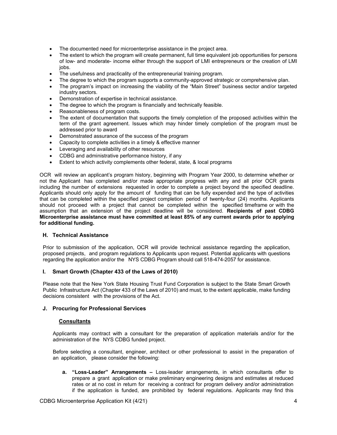- The documented need for microenterprise assistance in the project area.
- The extent to which the program will create permanent, full time equivalent job opportunities for persons of low- and moderate- income either through the support of LMI entrepreneurs or the creation of LMI jobs.
- The usefulness and practicality of the entrepreneurial training program.
- The degree to which the program supports a community-approved strategic or comprehensive plan.
- The program's impact on increasing the viability of the "Main Street" business sector and/or targeted industry sectors.
- Demonstration of expertise in technical assistance.
- The degree to which the program is financially and technically feasible.
- Reasonableness of program costs.
- The extent of documentation that supports the timely completion of the proposed activities within the term of the grant agreement. Issues which may hinder timely completion of the program must be addressed prior to award
- Demonstrated assurance of the success of the program
- Capacity to complete activities in a timely & effective manner
- Leveraging and availability of other resources
- CDBG and administrative performance history, if any
- Extent to which activity complements other federal, state, & local programs

OCR will review an applicant's program history, beginning with Program Year 2000, to determine whether or not the Applicant has completed and/or made appropriate progress with any and all prior OCR grants including the number of extensions requested in order to complete a project beyond the specified deadline. Applicants should only apply for the amount of funding that can be fully expended and the type of activities that can be completed within the specified project completion period of twenty-four (24) months. Applicants should not proceed with a project that cannot be completed within the specified timeframe or with the assumption that an extension of the project deadline will be considered. **Recipients of past CDBG Microenterprise assistance must have committed at least 85% of any current awards prior to applying for additional funding.**

#### <span id="page-5-0"></span>**H. Technical Assistance**

Prior to submission of the application, OCR will provide technical assistance regarding the application, proposed projects, and program regulations to Applicants upon request. Potential applicants with questions regarding the application and/or the NYS CDBG Program should call 518-474-2057 for assistance.

#### <span id="page-5-1"></span>**I. Smart Growth (Chapter 433 of the Laws of 2010)**

Please note that the New York State Housing Trust Fund Corporation is subject to the State Smart Growth Public Infrastructure Act (Chapter 433 of the Laws of 2010) and must, to the extent applicable, make funding decisions consistent with the provisions of the Act.

#### <span id="page-5-3"></span><span id="page-5-2"></span>**J. Procuring for Professional Services**

#### **Consultants**

Applicants may contract with a consultant for the preparation of application materials and/or for the administration of the NYS CDBG funded project.

Before selecting a consultant, engineer, architect or other professional to assist in the preparation of an application, please consider the following:

**a. "Loss-Leader" Arrangements –** Loss-leader arrangements, in which consultants offer to prepare a grant application or make preliminary engineering designs and estimates at reduced rates or at no cost in return for receiving a contract for program delivery and/or administration if the application is funded, are prohibited by federal regulations. Applicants may find this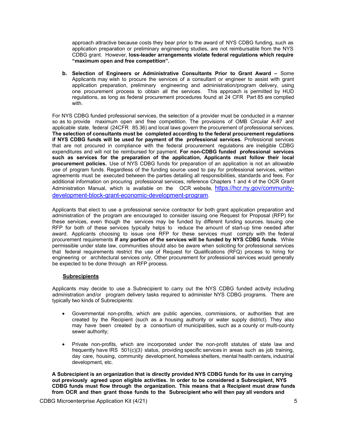approach attractive because costs they bear prior to the award of NYS CDBG funding, such as application preparation or preliminary engineering studies, are not reimbursable from the NYS CDBG grant. However, **loss-leader arrangements violate federal regulations which require "maximum open and free competition".**

**b. Selection of Engineers or Administrative Consultants Prior to Grant Award –** Some Applicants may wish to procure the services of a consultant or engineer to assist with grant application preparation, preliminary engineering and administration/program delivery, using one procurement process to obtain all the services. This approach is permitted by HUD regulations, as long as federal procurement procedures found at 24 CFR Part 85 are complied with.

For NYS CDBG funded professional services, the selection of a provider must be conducted in a manner so as to provide maximum open and free competition. The provisions of OMB Circular A-87 and applicable state, federal (24CFR 85.36) and local laws govern the procurement of professional services. **The selection of consultants must be completed according to the federal procurement regulations if NYS CDBG funds will be used for payment of the professional services.** Professional services that are not procured in compliance with the federal procurement regulations are ineligible CDBG expenditures and will not be reimbursed for payment. **For non-CDBG funded professional services such as services for the preparation of the application, Applicants must follow their local procurement policies.** Use of NYS CDBG funds for preparation of an application is not an allowable use of program funds. Regardless of the funding source used to pay for professional services, written agreements must be executed between the parties detailing all responsibilities, standards and fees. For additional information on procuring professional services, reference Chapters 1 and 4 of the OCR Grant Administration Manual, which is available on the OCR website, [https://hcr.ny.gov/community](https://hcr.ny.gov/community-development-block-grant-economic-development-program)[development-block-grant-economic-development-program.](https://hcr.ny.gov/community-development-block-grant-economic-development-program)

Applicants that elect to use a professional service contractor for both grant application preparation and administration of the program are encouraged to consider issuing one Request for Proposal (RFP) for these services, even though the services may be funded by different funding sources. Issuing one RFP for both of these services typically helps to reduce the amount of start-up time needed after award. Applicants choosing to issue one RFP for these services must comply with the federal procurement requirements **if any portion of the services will be funded by NYS CDBG funds**. While permissible under state law, communities should also be aware when soliciting for professional services that federal requirements restrict the use of Request for Qualifications (RFQ) process to hiring for engineering or architectural services only. Other procurement for professional services would generally be expected to be done through an RFP process.

#### **Subrecipients**

<span id="page-6-0"></span>Applicants may decide to use a Subrecipient to carry out the NYS CDBG funded activity including administration and/or program delivery tasks required to administer NYS CDBG programs. There are typically two kinds of Subrecipients:

- Governmental non-profits, which are public agencies, commissions, or authorities that are created by the Recipient (such as a housing authority or water supply district). They also may have been created by a consortium of municipalities, such as a county or multi-county sewer authority;
- Private non-profits, which are incorporated under the non-profit statutes of state law and frequently have IRS 501(c)(3) status, providing specific services in areas such as job training, day care, housing, community development, homeless shelters, mental health centers, industrial development, etc.

**A Subrecipient is an organization that is directly provided NYS CDBG funds for its use in carrying out previously agreed upon eligible activities. In order to be considered a Subrecipient, NYS CDBG funds must flow through the organization. This means that a Recipient must draw funds from OCR and then grant those funds to the Subrecipient who will then pay all vendors and**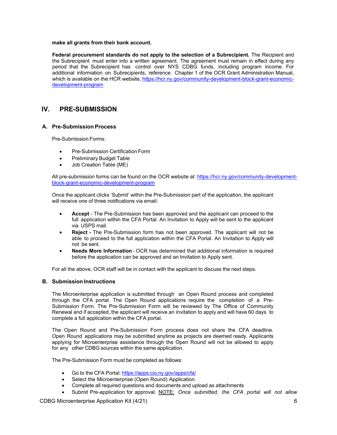#### **make all grants from their bank account.**

**Federal procurement standards do not apply to the selection of a Subrecipient.** The Recipient and the Subrecipient must enter into a written agreement. The agreement must remain in effect during any period that the Subrecipient has control over NYS CDBG funds, including program income. For additional information on Subrecipients, reference Chapter 1 of the OCR Grant Administration Manual, which is available on the HCR website, [https://hcr.ny.gov/community-development-block-grant-economic](https://hcr.ny.gov/community-development-block-grant-economic-development-program)[development-program](https://hcr.ny.gov/community-development-block-grant-economic-development-program)

## **IV. PRE-SUBMISSION**

#### <span id="page-7-0"></span>**A. Pre-Submission Process**

Pre-Submission Forms:

- Pre-Submission Certification Form
- Preliminary Budget Table
- Job Creation Table (ME)

All pre-submission forms can be found on the OCR website at: [https://hcr.ny.gov/community-development](https://hcr.ny.gov/community-development-block-grant-economic-development-program)[block-grant-economic-development-program](https://hcr.ny.gov/community-development-block-grant-economic-development-program)

Once the applicant clicks 'Submit' within the Pre-Submission part of the application, the applicant will receive one of three notifications via email:

- **Accept**  The Pre-Submission has been approved and the applicant can proceed to the full application within the CFA Portal. An Invitation to Apply will be sent to the applicant via USPS mail.
- **Reject -** The Pre-Submission form has not been approved. The applicant will not be able to proceed to the full application within the CFA Portal. An Invitation to Apply will not be sent.
- **Needs More Information**  OCR has determined that additional information is required before the application can be approved and an Invitation to Apply sent.

For all the above, OCR staff will be in contact with the applicant to discuss the next steps.

#### <span id="page-7-1"></span>**B. Submission Instructions**

The Microenterprise application is submitted through an Open Round process and completed through the CFA portal. The Open Round applications require the completion of a Pre-Submission Form. The Pre-Submission Form will be reviewed by The Office of Community Renewal and if accepted, the applicant will receive an invitation to apply and will have 60 days to complete a full application within the CFA portal.

The Open Round and Pre-Submission Form process does not share the CFA deadline. Open Round applications may be submitted anytime as projects are deemed ready. Applicants applying for Microenterprise assistance through the Open Round will not be allowed to apply for any other CDBG sources within the same application.

The Pre-Submission Form must be completed as follows:

- Go to the CFA Portal: <https://apps.cio.ny.gov/apps/cfa/>
- Select the Microenterprise (Open Round) Application.
- Complete all required questions and documents and upload as attachments
- Submit Pre-application for approval. NOTE: *Once submitted, the CFA portal will not allow*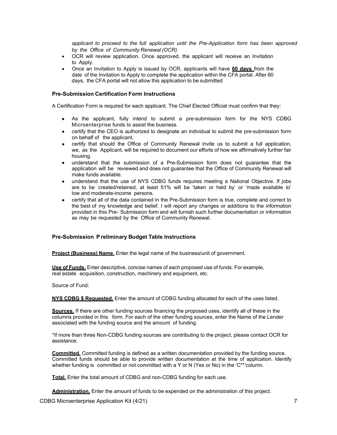*applicant to proceed to the full application until the Pre-Application form has been approved by the Office of Community Renewal (OCR)*

- OCR will review application. Once approved, the applicant will receive an Invitation to Apply.
- Once an Invitation to Apply is issued by OCR, applicants will have **60 days** from the date of the Invitation to Apply to complete the application within the CFA portal. After 60 days, the CFA portal will not allow this application to be submitted

#### **Pre-Submission Certification Form Instructions**

A Certification Form is required for each applicant. The Chief Elected Official must confirm that they:

- As the applicant, fully intend to submit a pre-submission form for the NYS CDBG Microenterprise funds to assist the business.
- certify that the CEO is authorized to designate an individual to submit the pre-submission form on behalf of the applicant.
- certify that should the Office of Community Renewal invite us to submit a full application, we, as the Applicant, will be required to document our efforts of how we affirmatively further fair housing.
- understand that the submission of a Pre-Submission form does not guarantee that the application will be reviewed and does not guarantee that the Office of Community Renewal will make funds available.
- understand that the use of NYS CDBG funds requires meeting a National Objective. If jobs are to be created/retained, at least 51% will be 'taken or held by' or 'made available to' low and moderate-income persons.
- certify that all of the data contained in the Pre-Submission form is true, complete and correct to the best of my knowledge and belief. I will report any changes or additions to the information provided in this Pre- Submission form and will furnish such further documentation or information as may be requested by the Office of Community Renewal.

#### **Pre-Submission Preliminary Budget Table Instructions**

**Project (Business) Name.** Enter the legal name of the business/unit of government.

**Use of Funds.** Enter descriptive, concise names of each proposed use of funds. For example, real estate acquisition, construction, machinery and equipment, etc.

Source of Fund:

**NYS CDBG \$ Requested.** Enter the amount of CDBG funding allocated for each of the uses listed.

**Sources.** If there are other funding sources financing the proposed uses, identify all of these in the columns provided in this form. For each of the other funding sources, enter the Name of the Lender associated with the funding source and the amount of funding.

\*If more than three Non-CDBG funding sources are contributing to the project, please contact OCR for assistance.

**Committed.** Committed funding is defined as a written documentation provided by the funding source. Committed funds should be able to provide written documentation at the time of application. Identify whether funding is committed or not committed with a Y or N (Yes or No) in the 'C<sup>\*\*</sup>'column.

**Total.** Enter the total amount of CDBG and non-CDBG funding for each use.

**Administration.** Enter the amount of funds to be expended on the administration of this project.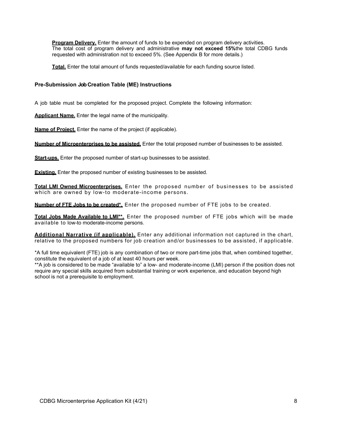**Program Delivery.** Enter the amount of funds to be expended on program delivery activities. The total cost of program delivery and administrative **may not exceed 15%**the total CDBG funds requested with administration not to exceed 5%. (See Appendix B for more details.)

**Total.** Enter the total amount of funds requested/available for each funding source listed.

#### **Pre-Submission Job Creation Table (ME) Instructions**

A job table must be completed for the proposed project. Complete the following information:

**Applicant Name.** Enter the legal name of the municipality.

**Name of Project.** Enter the name of the project (if applicable).

**Number of Microenterprises to be assisted.** Enter the total proposed number of businesses to be assisted.

**Start-ups.** Enter the proposed number of start-up businesses to be assisted.

**Existing.** Enter the proposed number of existing businesses to be assisted.

**Total LMI Owned Microenterprises.** Enter the proposed number of businesses to be assisted which are owned by low-to moderate-income persons.

**Number of FTE Jobs to be created\*.** Enter the proposed number of FTE jobs to be created.

**Total Jobs Made Available to LMI\*\*.** Enter the proposed number of FTE jobs which will be made available to low-to moderate-income persons.

**Additional Narrative (if applicable).** Enter any additional information not captured in the chart, relative to the proposed numbers for job creation and/or businesses to be assisted, if applicable.

\*A full time equivalent (FTE) job is any combination of two or more part-time jobs that, when combined together, constitute the equivalent of a job of at least 40 hours per week.

\*\*A job is considered to be made "available to" a low- and moderate-income (LMI) person if the position does not require any special skills acquired from substantial training or work experience, and education beyond high school is not a prerequisite to employment.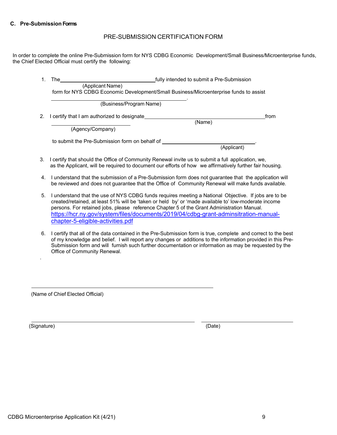#### <span id="page-10-0"></span>**C. Pre-Submission Forms**

## PRE-SUBMISSION CERTIFICATION FORM

In order to complete the online Pre-Submission form for NYS CDBG Economic Development/Small Business/Microenterprise funds, the Chief Elected Official must certify the following:

| fully intended to submit a Pre-Submission<br>The<br>1. |                                                |                                                                                                                                                                                                                  |             |      |
|--------------------------------------------------------|------------------------------------------------|------------------------------------------------------------------------------------------------------------------------------------------------------------------------------------------------------------------|-------------|------|
|                                                        | (Applicant Name)                               |                                                                                                                                                                                                                  |             |      |
|                                                        |                                                | form for NYS CDBG Economic Development/Small Business/Microenterprise funds to assist                                                                                                                            |             |      |
|                                                        |                                                | (Business/Program Name)                                                                                                                                                                                          |             |      |
| 2.                                                     | I certify that I am authorized to designate    |                                                                                                                                                                                                                  |             | from |
|                                                        |                                                |                                                                                                                                                                                                                  | (Name)      |      |
|                                                        | (Agency/Company)                               |                                                                                                                                                                                                                  |             |      |
|                                                        | to submit the Pre-Submission form on behalf of |                                                                                                                                                                                                                  |             |      |
|                                                        |                                                |                                                                                                                                                                                                                  | (Applicant) |      |
|                                                        |                                                | 3. I certify that should the Office of Community Renewal invite us to submit a full application, we,<br>as the Applicant, will be required to document our efforts of how we affirmatively further fair housing. |             |      |
| 4.                                                     |                                                | I understand that the submission of a Pre-Submission form does not guarantee that the application will<br>be reviewed and does not guarantee that the Office of Community Renewal will make funds available.     |             |      |

- 5. I understand that the use of NYS CDBG funds requires meeting a National Objective. If jobs are to be created/retained, at least 51% will be 'taken or held by' or 'made available to' low-moderate income persons. For retained jobs, please reference Chapter 5 of the Grant Administration Manual. [https://hcr.ny.gov/system/files/documents/2019/04/cdbg-grant-adminsitration-manual](https://hcr.ny.gov/system/files/documents/2019/04/cdbg-grant-adminsitration-manual-chapter-5-eligible-activities.pdf)[chapter-5-eligible-activities.pdf](https://hcr.ny.gov/system/files/documents/2019/04/cdbg-grant-adminsitration-manual-chapter-5-eligible-activities.pdf)
- 6. I certify that all of the data contained in the Pre-Submission form is true, complete and correct to the best of my knowledge and belief. I will report any changes or additions to the information provided in this Pre-Submission form and will furnish such further documentation or information as may be requested by the Office of Community Renewal.

(Name of Chief Elected Official)

(Signature) (Date)

.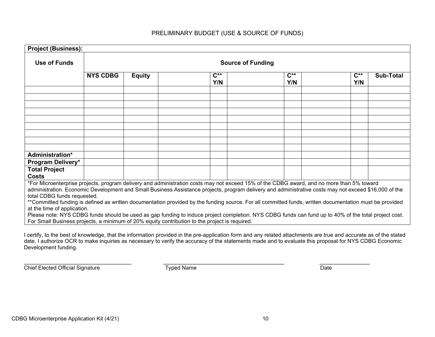| <b>Project (Business):</b>                                                                                                                                                                                                                                                                                                                                                                                                                                                                                                                                                                                                              |                          |               |  |                 |                                                                                                                                           |                 |                 |                  |
|-----------------------------------------------------------------------------------------------------------------------------------------------------------------------------------------------------------------------------------------------------------------------------------------------------------------------------------------------------------------------------------------------------------------------------------------------------------------------------------------------------------------------------------------------------------------------------------------------------------------------------------------|--------------------------|---------------|--|-----------------|-------------------------------------------------------------------------------------------------------------------------------------------|-----------------|-----------------|------------------|
|                                                                                                                                                                                                                                                                                                                                                                                                                                                                                                                                                                                                                                         |                          |               |  |                 |                                                                                                                                           |                 |                 |                  |
| Use of Funds                                                                                                                                                                                                                                                                                                                                                                                                                                                                                                                                                                                                                            | <b>Source of Funding</b> |               |  |                 |                                                                                                                                           |                 |                 |                  |
|                                                                                                                                                                                                                                                                                                                                                                                                                                                                                                                                                                                                                                         | <b>NYS CDBG</b>          | <b>Equity</b> |  | $C^{**}$<br>Y/N |                                                                                                                                           | $C^{**}$<br>Y/N | $C^{**}$<br>Y/N | <b>Sub-Total</b> |
|                                                                                                                                                                                                                                                                                                                                                                                                                                                                                                                                                                                                                                         |                          |               |  |                 |                                                                                                                                           |                 |                 |                  |
|                                                                                                                                                                                                                                                                                                                                                                                                                                                                                                                                                                                                                                         |                          |               |  |                 |                                                                                                                                           |                 |                 |                  |
|                                                                                                                                                                                                                                                                                                                                                                                                                                                                                                                                                                                                                                         |                          |               |  |                 |                                                                                                                                           |                 |                 |                  |
|                                                                                                                                                                                                                                                                                                                                                                                                                                                                                                                                                                                                                                         |                          |               |  |                 |                                                                                                                                           |                 |                 |                  |
|                                                                                                                                                                                                                                                                                                                                                                                                                                                                                                                                                                                                                                         |                          |               |  |                 |                                                                                                                                           |                 |                 |                  |
| Administration*                                                                                                                                                                                                                                                                                                                                                                                                                                                                                                                                                                                                                         |                          |               |  |                 |                                                                                                                                           |                 |                 |                  |
| Program Delivery*                                                                                                                                                                                                                                                                                                                                                                                                                                                                                                                                                                                                                       |                          |               |  |                 |                                                                                                                                           |                 |                 |                  |
| <b>Total Project</b><br><b>Costs</b>                                                                                                                                                                                                                                                                                                                                                                                                                                                                                                                                                                                                    |                          |               |  |                 |                                                                                                                                           |                 |                 |                  |
| administration. Economic Development and Small Business Assistance projects, program delivery and administrative costs may not exceed \$16,000 of the<br>total CDBG funds requested.<br>**Committed funding is defined as written documentation provided by the funding source. For all committed funds, written documentation must be provided<br>at the time of application.<br>Please note: NYS CDBG funds should be used as gap funding to induce project completion. NYS CDBG funds can fund up to 40% of the total project cost.<br>For Small Business projects, a minimum of 20% equity contribution to the project is required. |                          |               |  |                 | *For Microenterprise projects, program delivery and administration costs may not exceed 15% of the CDBG award, and no more than 5% toward |                 |                 |                  |
|                                                                                                                                                                                                                                                                                                                                                                                                                                                                                                                                                                                                                                         |                          |               |  |                 |                                                                                                                                           |                 |                 |                  |

## PRELIMINARY BUDGET (USE & SOURCE OF FUNDS)

I certify, to the best of knowledge, that the information provided in the pre-application form and any related attachments are true and accurate as of the stated date. I authorize OCR to make inquiries as necessary to verify the accuracy of the statements made and to evaluate this proposal for NYS CDBG Economic Development funding.

Chief Elected Official Signature Typed Name Typed Name

 $\_$  ,  $\_$  ,  $\_$  ,  $\_$  ,  $\_$  ,  $\_$  ,  $\_$  ,  $\_$  ,  $\_$  ,  $\_$  ,  $\_$  ,  $\_$  ,  $\_$  ,  $\_$  ,  $\_$  ,  $\_$  ,  $\_$  ,  $\_$  ,  $\_$  ,  $\_$  ,  $\_$  ,  $\_$  ,  $\_$  ,  $\_$  ,  $\_$  ,  $\_$  ,  $\_$  ,  $\_$  ,  $\_$  ,  $\_$  ,  $\_$  ,  $\_$  ,  $\_$  ,  $\_$  ,  $\_$  ,  $\_$  ,  $\_$  ,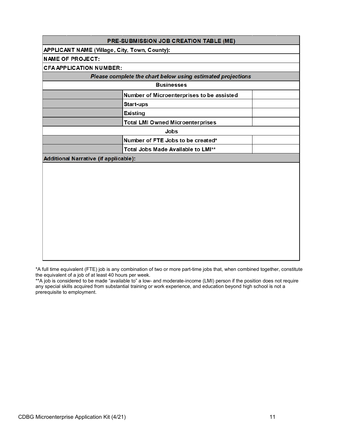|                                                      | <b>PRE-SUBMISSION JOB CREATION TABLE (ME)</b>               |  |
|------------------------------------------------------|-------------------------------------------------------------|--|
| <b>APPLICANT NAME (Village, City, Town, County):</b> |                                                             |  |
| <b>NAME OF PROJECT:</b>                              |                                                             |  |
| <b>CFA APPLICATION NUMBER:</b>                       |                                                             |  |
|                                                      | Please complete the chart below using estimated projections |  |
|                                                      | <b>Businesses</b>                                           |  |
|                                                      | Number of Microenterprises to be assisted                   |  |
|                                                      | <b>Start-ups</b>                                            |  |
|                                                      | <b>Existing</b>                                             |  |
|                                                      | <b>Total LMI Owned Microenterprises</b>                     |  |
|                                                      | Jobs                                                        |  |
|                                                      | Number of FTE Jobs to be created*                           |  |
|                                                      | Total Jobs Made Available to LMI**                          |  |
| <b>Additional Narrative (if applicable):</b>         |                                                             |  |
|                                                      |                                                             |  |
|                                                      |                                                             |  |
|                                                      |                                                             |  |
|                                                      |                                                             |  |
|                                                      |                                                             |  |
|                                                      |                                                             |  |
|                                                      |                                                             |  |
|                                                      |                                                             |  |
|                                                      |                                                             |  |
|                                                      |                                                             |  |
|                                                      |                                                             |  |
|                                                      |                                                             |  |
|                                                      |                                                             |  |

\*A full time equivalent (FTE) job is any combination of two or more part-time jobs that, when combined together, constitute the equivalent of a job of at least 40 hours per week.

\*\*A job is considered to be made "available to" a low- and moderate-income (LMI) person if the position does not require any special skills acquired from substantial training or work experience, and education beyond high school is not a prerequisite to employment.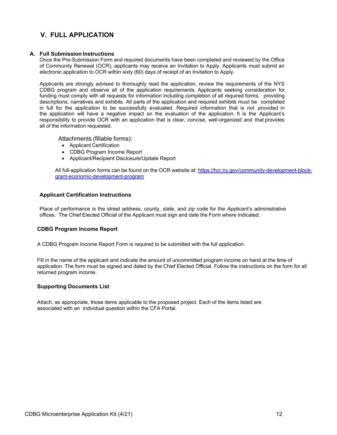## **V. FULL APPLICATION**

#### <span id="page-13-0"></span>**A. Full Submission Instructions**

Once the Pre-Submission Form and required documents have been completed and reviewed by the Office of Community Renewal (OCR), applicants may receive an Invitation to Apply. Applicants must submit an electronic application to OCR within sixty (60) days of receipt of an Invitation to Apply.

Applicants are strongly advised to thoroughly read the application, review the requirements of the NYS CDBG program and observe all of the application requirements. Applicants seeking consideration for funding must comply with all requests for information including completion of all required forms, providing descriptions, narratives and exhibits. All parts of the application and required exhibits must be completed in full for the application to be successfully evaluated. Required information that is not provided in the application will have a negative impact on the evaluation of the application. It is the Applicant's responsibility to provide OCR with an application that is clear, concise, well-organized and that provides all of the information requested.

Attachments (fillable forms):

- Applicant Certification
- CDBG Program Income Report
- Applicant/Recipient Disclosure/Update Report

All full-application forms can be found on the OCR website at: [https://hcr.ny.gov/community-development-block](https://hcr.ny.gov/community-development-block-grant-economic-development-program)[grant-economic-development-program](https://hcr.ny.gov/community-development-block-grant-economic-development-program)

#### **Applicant Certification Instructions**

Place of performance is the street address, county, state, and zip code for the Applicant's administrative offices. The Chief Elected Official of the Applicant must sign and date the Form where indicated.

#### **CDBG Program Income Report**

A CDBG Program Income Report Form is required to be submitted with the full application.

Fill in the name of the applicant and indicate the amount of uncommitted program income on hand at the time of application. The form must be signed and dated by the Chief Elected Official. Follow the instructions on the form for all returned program income.

#### **Supporting Documents List**

Attach, as appropriate, those items applicable to the proposed project. Each of the items listed are associated with an individual question within the CFA Portal.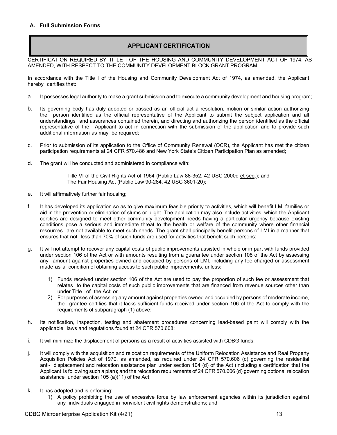## **APPLICANT CERTIFICATION**

<span id="page-14-0"></span>CERTIFICATION REQUIRED BY TITLE I OF THE HOUSING AND COMMUNITY DEVELOPMENT ACT OF 1974, AS AMENDED, WITH RESPECT TO THE COMMUNITY DEVELOPMENT BLOCK GRANT PROGRAM

In accordance with the Title I of the Housing and Community Development Act of 1974, as amended, the Applicant hereby certifies that:

- a. It possesses legal authority to make a grant submission and to execute a community development and housing program;
- b. Its governing body has duly adopted or passed as an official act a resolution, motion or similar action authorizing the person identified as the official representative of the Applicant to submit the subject application and all understandings and assurances contained therein, and directing and authorizing the person identified as the official representative of the Applicant to act in connection with the submission of the application and to provide such additional information as may be required;
- c. Prior to submission of its application to the Office of Community Renewal (OCR), the Applicant has met the citizen participation requirements at 24 CFR 570.486 and New York State's Citizen Participation Plan as amended;
- d. The grant will be conducted and administered in compliance with:

Title VI of the Civil Rights Act of 1964 (Public Law 88-352, 42 USC 2000d et seq.); and The Fair Housing Act (Public Law 90-284, 42 USC 3601-20);

- e. It will affirmatively further fair housing;
- f. It has developed its application so as to give maximum feasible priority to activities, which will benefit LMI families or aid in the prevention or elimination of slums or blight. The application may also include activities, which the Applicant certifies are designed to meet other community development needs having a particular urgency because existing conditions pose a serious and immediate threat to the health or welfare of the community where other financial resources are not available to meet such needs. The grant shall principally benefit persons of LMI in a manner that ensures that not less than 70% of such funds are used for activities that benefit such persons;
- g. It will not attempt to recover any capital costs of public improvements assisted in whole or in part with funds provided under section 106 of the Act or with amounts resulting from a guarantee under section 108 of the Act by assessing any amount against properties owned and occupied by persons of LMI, including any fee charged or assessment made as a condition of obtaining access to such public improvements, unless:
	- 1) Funds received under section 106 of the Act are used to pay the proportion of such fee or assessment that relates to the capital costs of such public improvements that are financed from revenue sources other than under Title I of the Act; or
	- 2) For purposes of assessing any amount against properties owned and occupied by persons of moderate income, the grantee certifies that it lacks sufficient funds received under section 106 of the Act to comply with the requirements of subparagraph (1) above;
- h. Its notification, inspection, testing and abatement procedures concerning lead-based paint will comply with the applicable laws and regulations found at 24 CFR 570.608;
- i. It will minimize the displacement of persons as a result of activities assisted with CDBG funds;
- j. It will comply with the acquisition and relocation requirements of the Uniform Relocation Assistance and Real Property Acquisition Policies Act of 1970, as amended, as required under 24 CFR 570.606 (c) governing the residential anti- displacement and relocation assistance plan under section 104 (d) of the Act (including a certification that the Applicant is following such a plan); and the relocation requirements of 24 CFR 570.606 (d) governing optional relocation assistance under section 105 (a)(11) of the Act;
- k. It has adopted and is enforcing:
	- 1) A policy prohibiting the use of excessive force by law enforcement agencies within its jurisdiction against any individuals engaged in nonviolent civil rights demonstrations; and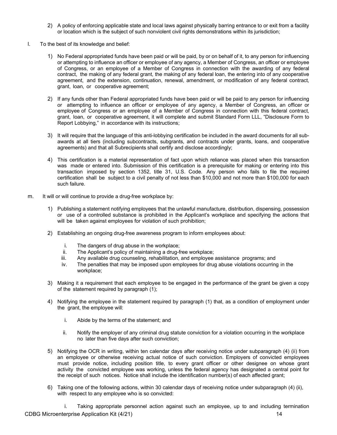- 2) A policy of enforcing applicable state and local laws against physically barring entrance to or exit from a facility or location which is the subject of such nonviolent civil rights demonstrations within its jurisdiction;
- l. To the best of its knowledge and belief:
	- 1) No Federal appropriated funds have been paid or will be paid, by or on behalf of it, to any person for influencing or attempting to influence an officer or employee of any agency, a Member of Congress, an officer or employee of Congress, or an employee of a Member of Congress in connection with the awarding of any federal contract, the making of any federal grant, the making of any federal loan, the entering into of any cooperative agreement, and the extension, continuation, renewal, amendment, or modification of any federal contract, grant, loan, or cooperative agreement;
	- 2) If any funds other than Federal appropriated funds have been paid or will be paid to any person for influencing or attempting to influence an officer or employee of any agency, a Member of Congress, an officer or employee of Congress or an employee of a Member of Congress in connection with this federal contract, grant, loan, or cooperative agreement, it will complete and submit Standard Form LLL, "Disclosure Form to Report Lobbying," in accordance with its instructions;
	- 3) It will require that the language of this anti-lobbying certification be included in the award documents for all subawards at all tiers (including subcontracts, subgrants, and contracts under grants, loans, and cooperative agreements) and that all Subrecipients shall certify and disclose accordingly;
	- 4) This certification is a material representation of fact upon which reliance was placed when this transaction was made or entered into. Submission of this certification is a prerequisite for making or entering into this transaction imposed by section 1352, title 31, U.S. Code. Any person who fails to file the required certification shall be subject to a civil penalty of not less than \$10,000 and not more than \$100,000 for each such failure.
- m. It will or will continue to provide a drug-free workplace by:
	- 1) Publishing a statement notifying employees that the unlawful manufacture, distribution, dispensing, possession or use of a controlled substance is prohibited in the Applicant's workplace and specifying the actions that will be taken against employees for violation of such prohibition;
	- 2) Establishing an ongoing drug-free awareness program to inform employees about:
		- i. The dangers of drug abuse in the workplace;<br>ii. The Applicant's policy of maintaining a drug-fi
		- The Applicant's policy of maintaining a drug-free workplace;
		- iii. Any available drug counseling, rehabilitation, and employee assistance programs; and
		- iv. The penalties that may be imposed upon employees for drug abuse violations occurring in the workplace;
	- 3) Making it a requirement that each employee to be engaged in the performance of the grant be given a copy of the statement required by paragraph (1);
	- 4) Notifying the employee in the statement required by paragraph (1) that, as a condition of employment under the grant, the employee will:
		- i. Abide by the terms of the statement; and
		- ii. Notify the employer of any criminal drug statute conviction for a violation occurring in the workplace no later than five days after such conviction;
	- 5) Notifying the OCR in writing, within ten calendar days after receiving notice under subparagraph (4) (ii) from an employee or otherwise receiving actual notice of such conviction. Employers of convicted employees must provide notice, including position title, to every grant officer or other designee on whose grant activity the convicted employee was working, unless the federal agency has designated a central point for the receipt of such notices. Notice shall include the identification number(s) of each affected grant;
	- 6) Taking one of the following actions, within 30 calendar days of receiving notice under subparagraph (4) (ii), with respect to any employee who is so convicted:

CDBG Microenterprise Application Kit (4/21) 14 and 200 and 200 and 200 and 200 and 200 and 200 and 200 and 200 i. Taking appropriate personnel action against such an employee, up to and including termination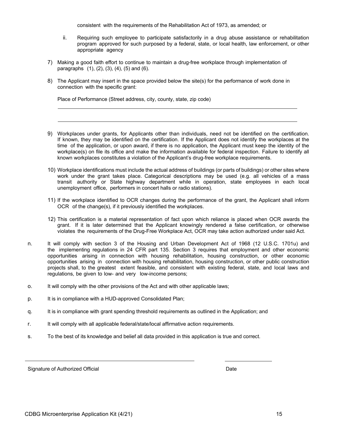consistent with the requirements of the Rehabilitation Act of 1973, as amended; or

- ii. Requiring such employee to participate satisfactorily in a drug abuse assistance or rehabilitation program approved for such purposed by a federal, state, or local health, law enforcement, or other appropriate agency
- 7) Making a good faith effort to continue to maintain a drug-free workplace through implementation of paragraphs (1), (2), (3), (4), (5) and (6).
- 8) The Applicant may insert in the space provided below the site(s) for the performance of work done in connection with the specific grant:

Place of Performance (Street address, city, county, state, zip code)

- 9) Workplaces under grants, for Applicants other than individuals, need not be identified on the certification. If known, they may be identified on the certification. If the Applicant does not identify the workplaces at the time of the application, or upon award, if there is no application, the Applicant must keep the identity of the workplace(s) on file its office and make the information available for federal inspection. Failure to identify all known workplaces constitutes a violation of the Applicant's drug-free workplace requirements.
- 10) Workplace identifications must include the actual address of buildings (or parts of buildings) or other sites where work under the grant takes place. Categorical descriptions may be used (e.g. all vehicles of a mass transit authority or State highway department while in operation, state employees in each local unemployment office, performers in concert halls or radio stations).
- 11) If the workplace identified to OCR changes during the performance of the grant, the Applicant shall inform OCR of the change(s), if it previously identified the workplaces.
- 12) This certification is a material representation of fact upon which reliance is placed when OCR awards the grant. If it is later determined that the Applicant knowingly rendered a false certification, or otherwise violates the requirements of the Drug-Free Workplace Act, OCR may take action authorized under said Act.
- n. It will comply with section 3 of the Housing and Urban Development Act of 1968 (12 U.S.C. 1701u) and the implementing regulations in 24 CFR part 135. Section 3 requires that employment and other economic opportunities arising in connection with housing rehabilitation, housing construction, or other economic opportunities arising in connection with housing rehabilitation, housing construction, or other public construction projects shall, to the greatest extent feasible, and consistent with existing federal, state, and local laws and regulations, be given to low- and very low-income persons;
- o. It will comply with the other provisions of the Act and with other applicable laws;
- p. It is in compliance with a HUD-approved Consolidated Plan;
- q. It is in compliance with grant spending threshold requirements as outlined in the Application; and
- r. It will comply with all applicable federal/state/local affirmative action requirements.
- s. To the best of its knowledge and belief all data provided in this application is true and correct.

Signature of Authorized Official **Date** Date **Date** Date Date **Date** Date **Date**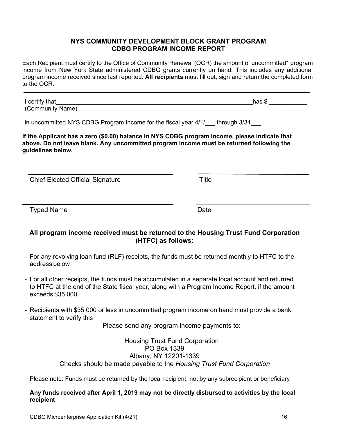## **NYS COMMUNITY DEVELOPMENT BLOCK GRANT PROGRAM CDBG PROGRAM INCOME REPORT**

Each Recipient must certify to the Office of Community Renewal (OCR) the amount of uncommitted\* program income from New York State administered CDBG grants currently on hand. This includes any additional program income received since last reported. **All recipients** must fill out, sign and return the completed form to the OCR.

I certify that has  $\frac{1}{2}$  certify that has  $\frac{1}{2}$  and  $\frac{1}{2}$  and  $\frac{1}{2}$  and  $\frac{1}{2}$  and  $\frac{1}{2}$  and  $\frac{1}{2}$  and  $\frac{1}{2}$  and  $\frac{1}{2}$  and  $\frac{1}{2}$  and  $\frac{1}{2}$  and  $\frac{1}{2}$  and  $\frac{1}{2}$  and  $\frac{1}{2}$ (Community Name)

in uncommitted NYS CDBG Program Income for the fiscal year 4/1/ through 3/31 .

**If the Applicant has a zero (\$0.00) balance in NYS CDBG program income, please indicate that above. Do not leave blank. Any uncommitted program income must be returned following the guidelines below.**

Chief Elected Official Signature Title

Typed Name **Date** 

## **All program income received must be returned to the Housing Trust Fund Corporation (HTFC) as follows:**

- For any revolving loan fund (RLF) receipts, the funds must be returned monthly to HTFC to the address below
- For all other receipts, the funds must be accumulated in a separate local account and returned to HTFC at the end of the State fiscal year, along with a Program Income Report, if the amount exceeds \$35,000
- Recipients with \$35,000 or less in uncommitted program income on hand must provide a bank statement to verify this

Please send any program income payments to:

Housing Trust Fund Corporation PO Box 1339 Albany, NY 12201-1339 Checks should be made payable to the *Housing Trust Fund Corporation*

Please note: Funds must be returned by the local recipient, not by any subrecipient or beneficiary

**Any funds received after April 1, 2019 may not be directly disbursed to activities by the local recipient**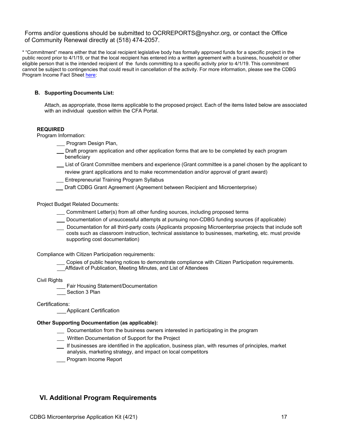## Forms and/or questions should be submitted to [OCRREPORTS@nyshcr.org, o](mailto:OCRREPORTS@nyshcr.org)r contact the Office of Community Renewal directly at (518) 474-2057.

\* "Commitment" means either that the local recipient legislative body has formally approved funds for a specific project in the public record prior to 4/1/19, or that the local recipient has entered into a written agreement with a business, household or other eligible person that is the intended recipient of the funds committing to a specific activity prior to 4/1/19. This commitment cannot be subject to contingencies that could result in cancellation of the activity. For more information, please see the CDBG Program Income Fact Shee[t here:](https://hcr.ny.gov/system/files/documents/2019/08/Program%20Income%20Fact%20Sheet.pdf)

#### <span id="page-18-0"></span>**B. Supporting Documents List:**

Attach, as appropriate, those items applicable to the proposed project. Each of the items listed below are associated with an individual question within the CFA Portal.

#### **REQUIRED**

Program Information:

- Program Design Plan,
- Draft program application and other application forms that are to be completed by each program beneficiary
- List of Grant Committee members and experience (Grant committee is a panel chosen by the applicant to review grant applications and to make recommendation and/or approval of grant award)
- **Entrepreneurial Training Program Syllabus**
- Draft CDBG Grant Agreement (Agreement between Recipient and Microenterprise)

Project Budget Related Documents:

- Commitment Letter(s) from all other funding sources, including proposed terms
- Documentation of unsuccessful attempts at pursuing non-CDBG funding sources (if applicable)
- Documentation for all third-party costs (Applicants proposing Microenterprise projects that include soft costs such as classroom instruction, technical assistance to businesses, marketing, etc. must provide supporting cost documentation)

Compliance with Citizen Participation requirements:

Copies of public hearing notices to demonstrate compliance with Citizen Participation requirements. Affidavit of Publication, Meeting Minutes, and List of Attendees

#### Civil Rights

- Fair Housing Statement/Documentation
- Section 3 Plan

Certifications:

\_\_\_Applicant Certification

#### **Other Supporting Documentation (as applicable):**

- Documentation from the business owners interested in participating in the program
- **Written Documentation of Support for the Project**
- If businesses are identified in the application, business plan, with resumes of principles, market analysis, marketing strategy, and impact on local competitors
- Program Income Report

## <span id="page-18-1"></span>**VI. Additional Program Requirements**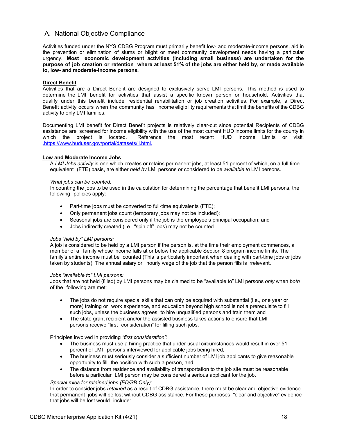## <span id="page-19-0"></span>A. National Objective Compliance

Activities funded under the NYS CDBG Program must primarily benefit low- and moderate-income persons, aid in the prevention or elimination of slums or blight or meet community development needs having a particular urgency. **Most economic development activities (including small business) are undertaken for the purpose of job creation or retention where at least 51% of the jobs are either held by, or made available to, low- and moderate-income persons.**

#### <span id="page-19-1"></span>**Direct Benefit**

Activities that are a Direct Benefit are designed to exclusively serve LMI persons. This method is used to determine the LMI benefit for activities that assist a specific known person or household. Activities that qualify under this benefit include residential rehabilitation or job creation activities. For example, a Direct Benefit activity occurs when the community has income eligibility requirements that limit the benefits of the CDBG activity to only LMI families.

Documenting LMI benefit for Direct Benefit projects is relatively clear-cut since potential Recipients of CDBG assistance are screened for income eligibility with the use of the most current HUD income limits for the county in which the project is located. Reference the most recent HUD Income Limits or visit[,](file://hcr-smb.dhcrnet.local/dhcr_shared/hpl_pubdata/ocr/Grant%20Administration/CDBG/Economic%20Development/ED%20Group%20Application%20&%20Guidelines/Applications%20and%20Guidelines/%20.)  [.](file://hcr-smb.dhcrnet.local/dhcr_shared/hpl_pubdata/ocr/Grant%20Administration/CDBG/Economic%20Development/ED%20Group%20Application%20&%20Guidelines/Applications%20and%20Guidelines/%20.)[https://www.huduser.gov/portal/datasets/il.html.](https://www.huduser.gov/portal/datasets/il.html)

#### <span id="page-19-2"></span>**Low and Moderate Income Jobs**

A *LMI Jobs activity* is one which creates or retains permanent jobs, at least 51 percent of which, on a full time equivalent (FTE) basis, are either *held by* LMI persons or considered to be *available to* LMI persons.

#### *What jobs can be counted:*

In counting the jobs to be used in the calculation for determining the percentage that benefit LMI persons, the following policies apply:

- Part-time jobs must be converted to full-time equivalents (FTE);
- Only permanent jobs count (temporary jobs may not be included);
- Seasonal jobs are considered only if the job is the employee's principal occupation; and
- Jobs indirectly created (i.e., "spin off" jobs) may not be counted.

#### *Jobs "held by" LMI persons:*

A job is considered to be held by a LMI person if the person is, at the time their employment commences, a member of a family whose income falls at or below the applicable Section 8 program income limits. The family's entire income must be counted (This is particularly important when dealing with part-time jobs or jobs taken by students). The annual salary or hourly wage of the job that the person fills is irrelevant.

#### *Jobs "available to" LMI persons:*

Jobs that are not held (filled) by LMI persons may be claimed to be "available to" LMI persons *only* when *both*  of the following are met:

- The jobs do not require special skills that can only be acquired with substantial (i.e., one year or more) training or work experience, and education beyond high school is not a prerequisite to fill such jobs, unless the business agrees to hire unqualified persons and train them and
- The state grant recipient and/or the assisted business takes actions to ensure that LMI persons receive "first consideration" for filling such jobs.

Principles involved in providing *"first consideration"*:

- The business must use a hiring practice that under usual circumstances would result in over 51 percent of LMI persons interviewed for applicable jobs being hired,
- The business must seriously consider a sufficient number of LMI job applicants to give reasonable opportunity to fill the position with such a person, and
- The distance from residence and availability of transportation to the job site must be reasonable before a particular LMI person may be considered a serious applicant for the job.

#### *Special rules for retained jobs (ED/SB Only):*

In order to consider jobs *retained* as a result of CDBG assistance, there must be clear and objective evidence that permanent jobs will be lost without CDBG assistance. For these purposes, "clear and objective" evidence that jobs will be lost would include: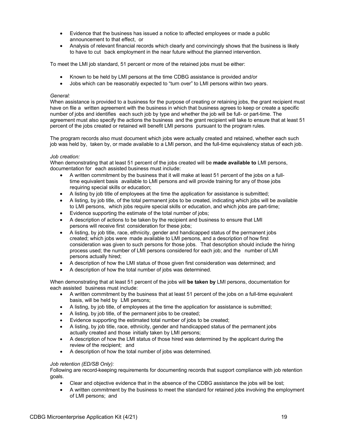- Evidence that the business has issued a notice to affected employees or made a public announcement to that effect, or
- Analysis of relevant financial records which clearly and convincingly shows that the business is likely to have to cut back employment in the near future without the planned intervention.

To meet the LMI job standard, 51 percent or more of the retained jobs must be either:

- Known to be held by LMI persons at the time CDBG assistance is provided and/or
- Jobs which can be reasonably expected to "turn over" to LMI persons within two years.

#### *General:*

When assistance is provided to a business for the purpose of creating or retaining jobs, the grant recipient must have on file a written agreement with the business in which that business agrees to keep or create a specific number of jobs and identifies each such job by type and whether the job will be full- or part-time. The agreement must also specify the actions the business and the grant recipient will take to ensure that at least 51 percent of the jobs created or retained will benefit LMI persons pursuant to the program rules.

The program records also must document which jobs were actually created and retained, whether each such job was held by, taken by, or made available to a LMI person, and the full-time equivalency status of each job.

#### *Job creation:*

When demonstrating that at least 51 percent of the jobs created will be **made available to** LMI persons, documentation for each assisted business must include:

- A written commitment by the business that it will make at least 51 percent of the jobs on a fulltime equivalent basis available to LMI persons and will provide training for any of those jobs requiring special skills or education;
- A listing by job title of employees at the time the application for assistance is submitted;
- A listing, by job title, of the total permanent jobs to be created, indicating which jobs will be available to LMI persons, which jobs require special skills or education, and which jobs are part-time;
- Evidence supporting the estimate of the total number of jobs;
- A description of actions to be taken by the recipient and business to ensure that LMI persons will receive first consideration for these jobs;
- A listing, by job title, race, ethnicity, gender and handicapped status of the permanent jobs created; which jobs were made available to LMI persons, and a description of how first consideration was given to such persons for those jobs. That description should include the hiring process used; the number of LMI persons considered for each job; and the number of LMI persons actually hired;
- A description of how the LMI status of those given first consideration was determined; and
- A description of how the total number of jobs was determined.

When demonstrating that at least 51 percent of the jobs will **be taken by** LMI persons, documentation for each assisted business must include:

- A written commitment by the business that at least 51 percent of the jobs on a full-time equivalent basis, will be held by LMI persons;
- A listing, by job title, of employees at the time the application for assistance is submitted;
- A listing, by job title, of the permanent jobs to be created;
- Evidence supporting the estimated total number of jobs to be created;
- A listing, by job title, race, ethnicity, gender and handicapped status of the permanent jobs actually created and those initially taken by LMI persons;
- A description of how the LMI status of those hired was determined by the applicant during the review of the recipient; and
- A description of how the total number of jobs was determined.

#### *Job retention (ED/SB Only):*

Following are record-keeping requirements for documenting records that support compliance with job retention goals.

- Clear and objective evidence that in the absence of the CDBG assistance the jobs will be lost;
- A written commitment by the business to meet the standard for retained jobs involving the employment of LMI persons; and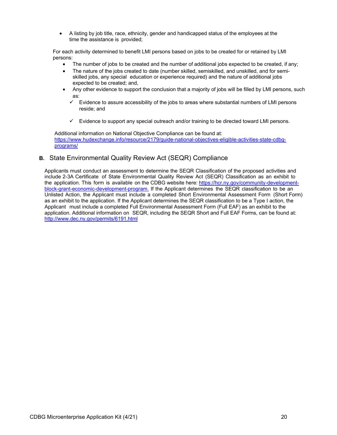• A listing by job title, race, ethnicity, gender and handicapped status of the employees at the time the assistance is provided;

For each activity determined to benefit LMI persons based on jobs to be created for or retained by LMI persons:

- The number of jobs to be created and the number of additional jobs expected to be created, if any;
- The nature of the jobs created to date (number skilled, semiskilled, and unskilled, and for semiskilled jobs, any special education or experience required) and the nature of additional jobs expected to be created; and,
- Any other evidence to support the conclusion that a majority of jobs will be filled by LMI persons, such as:
	- $\checkmark$  Evidence to assure accessibility of the jobs to areas where substantial numbers of LMI persons reside; and
	- $\checkmark$  Evidence to support any special outreach and/or training to be directed toward LMI persons.

Additional information on National Objective Compliance can be found at: [https://www.hudexchange.info/resource/2179/guide-national-objectives-eligible-activities-state-cdbg](https://www.hudexchange.info/resource/2179/guide-national-objectives-eligible-activities-state-cdbg-programs/)[programs/](https://www.hudexchange.info/resource/2179/guide-national-objectives-eligible-activities-state-cdbg-programs/)

## <span id="page-21-0"></span>**B.** State Environmental Quality Review Act (SEQR) Compliance

Applicants must conduct an assessment to determine the SEQR Classification of the proposed activities and include 2-3A Certificate of State Environmental Quality Review Act (SEQR) Classification as an exhibit to the application. This form is available on the CDBG website here[: https://hcr.ny.gov/community-development](https://hcr.ny.gov/community-development-block-grant-economic-development-program)[block-grant-economic-development-program.](https://hcr.ny.gov/community-development-block-grant-economic-development-program) If the Applicant determines the SEQR classification to be an Unlisted Action, the Applicant must include a completed Short Environmental Assessment Form (Short Form) as an exhibit to the application. If the Applicant determines the SEQR classification to be a Type I action, the Applicant must include a completed Full Environmental Assessment Form (Full EAF) as an exhibit to the application. Additional information on SEQR, including the SEQR Short and Full EAF Forms, can be found at: <http://www.dec.ny.gov/permits/6191.html>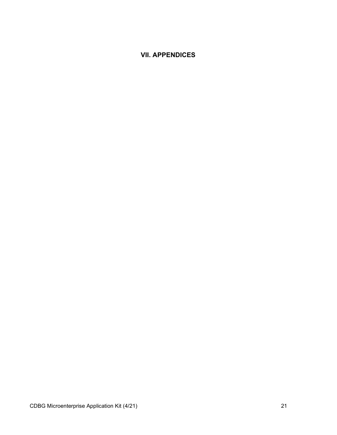## <span id="page-22-0"></span>**VII. APPENDICES**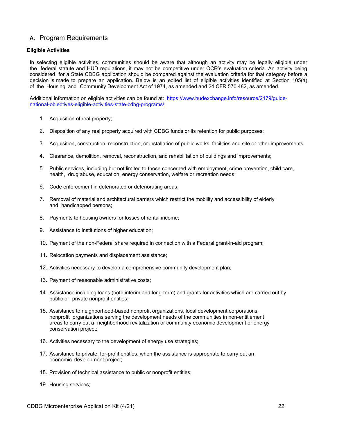## <span id="page-23-0"></span>**A.** Program Requirements

#### <span id="page-23-1"></span>**Eligible Activities**

In selecting eligible activities, communities should be aware that although an activity may be legally eligible under the federal statute and HUD regulations, it may not be competitive under OCR's evaluation criteria. An activity being considered for a State CDBG application should be compared against the evaluation criteria for that category before a decision is made to prepare an application. Below is an edited list of eligible activities identified at Section 105(a) of the Housing and Community Development Act of 1974, as amended and 24 CFR 570.482, as amended.

Additional information on eligible activities can be found at: [https://www.hudexchange.info/resource/2179/guide](https://www.hudexchange.info/resource/2179/guide-national-objectives-eligible-activities-state-cdbg-programs/)[national-objectives-eligible-activities-state-cdbg-programs/](https://www.hudexchange.info/resource/2179/guide-national-objectives-eligible-activities-state-cdbg-programs/)

- 1. Acquisition of real property;
- 2. Disposition of any real property acquired with CDBG funds or its retention for public purposes;
- 3. Acquisition, construction, reconstruction, or installation of public works, facilities and site or other improvements;
- 4. Clearance, demolition, removal, reconstruction, and rehabilitation of buildings and improvements;
- 5. Public services, including but not limited to those concerned with employment, crime prevention, child care, health, drug abuse, education, energy conservation, welfare or recreation needs;
- 6. Code enforcement in deteriorated or deteriorating areas;
- 7. Removal of material and architectural barriers which restrict the mobility and accessibility of elderly and handicapped persons;
- 8. Payments to housing owners for losses of rental income;
- 9. Assistance to institutions of higher education;
- 10. Payment of the non-Federal share required in connection with a Federal grant-in-aid program;
- 11. Relocation payments and displacement assistance;
- 12. Activities necessary to develop a comprehensive community development plan;
- 13. Payment of reasonable administrative costs;
- 14. Assistance including loans (both interim and long-term) and grants for activities which are carried out by public or private nonprofit entities;
- 15. Assistance to neighborhood-based nonprofit organizations, local development corporations, nonprofit organizations serving the development needs of the communities in non-entitlement areas to carry out a neighborhood revitalization or community economic development or energy conservation project;
- 16. Activities necessary to the development of energy use strategies;
- 17. Assistance to private, for-profit entities, when the assistance is appropriate to carry out an economic development project;
- 18. Provision of technical assistance to public or nonprofit entities;
- 19. Housing services;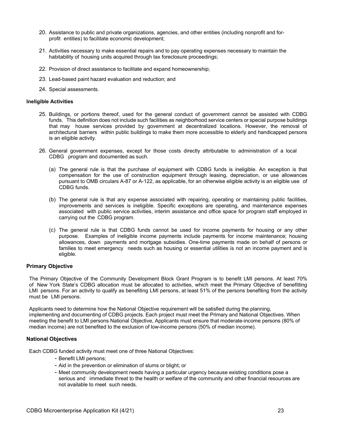- 20. Assistance to public and private organizations, agencies, and other entities (including nonprofit and forprofit entities) to facilitate economic development;
- 21. Activities necessary to make essential repairs and to pay operating expenses necessary to maintain the habitability of housing units acquired through tax foreclosure proceedings;
- 22. Provision of direct assistance to facilitate and expand homeownership;
- 23. Lead-based paint hazard evaluation and reduction; and
- 24. Special assessments.

#### <span id="page-24-0"></span>**Ineligible Activities**

- 25. Buildings, or portions thereof, used for the general conduct of government cannot be assisted with CDBG funds. This definition does not include such facilities as neighborhood service centers or special purpose buildings that may house services provided by government at decentralized locations. However, the removal of architectural barriers within public buildings to make them more accessible to elderly and handicapped persons is an eligible activity.
- 26. General government expenses, except for those costs directly attributable to administration of a local CDBG program and documented as such.
	- (a) The general rule is that the purchase of equipment with CDBG funds is ineligible. An exception is that compensation for the use of construction equipment through leasing, depreciation, or use allowances pursuant to OMB circulars A-87 or A-122, as applicable, for an otherwise eligible activity is an eligible use of CDBG funds.
	- (b) The general rule is that any expense associated with repairing, operating or maintaining public facilities, improvements and services is ineligible. Specific exceptions are operating, and maintenance expenses associated with public service activities, interim assistance and office space for program staff employed in carrying out the CDBG program.
	- (c) The general rule is that CDBG funds cannot be used for income payments for housing or any other purpose. Examples of ineligible income payments include payments for income maintenance; housing allowances, down payments and mortgage subsidies. One-time payments made on behalf of persons or families to meet emergency needs such as housing or essential utilities is not an income payment and is eligible.

#### <span id="page-24-1"></span>**Primary Objective**

The Primary Objective of the Community Development Block Grant Program is to benefit LMI persons. At least 70% of New York State's CDBG allocation must be allocated to activities, which meet the Primary Objective of benefitting LMI persons. For an activity to qualify as benefiting LMI persons, at least 51% of the persons benefiting from the activity must be LMI persons.

Applicants need to determine how the National Objective requirement will be satisfied during the planning, implementing and documenting of CDBG projects. Each project must meet the Primary and National Objectives. When meeting the benefit to LMI persons National Objective, Applicants must ensure that moderate-income persons (80% of median income) are not benefited to the exclusion of low-income persons (50% of median income).

#### <span id="page-24-2"></span>**National Objectives**

Each CDBG funded activity must meet one of three National Objectives:

- Benefit LMI persons;
- Aid in the prevention or elimination of slums or blight; or
- Meet community development needs having a particular urgency because existing conditions pose a serious and immediate threat to the health or welfare of the community and other financial resources are not available to meet such needs.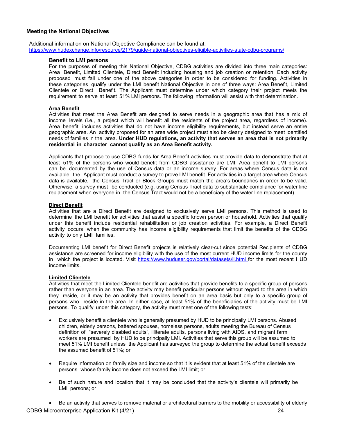#### <span id="page-25-0"></span>**Meeting the National Objectives**

Additional information on National Objective Compliance can be found at: <https://www.hudexchange.info/resource/2179/guide-national-objectives-eligible-activities-state-cdbg-programs/>

#### **Benefit to LMI persons**

For the purposes of meeting this National Objective, CDBG activities are divided into three main categories: Area Benefit, Limited Clientele, Direct Benefit including housing and job creation or retention. Each activity proposed must fall under one of the above categories in order to be considered for funding. Activities in these categories qualify under the LMI benefit National Objective in one of three ways: Area Benefit, Limited Clientele or Direct Benefit. The Applicant must determine under which category their project meets the requirement to serve at least 51% LMI persons. The following information will assist with that determination.

#### **Area Benefit**

Activities that meet the Area Benefit are designed to serve needs in a geographic area that has a mix of income levels (i.e., a project which will benefit all the residents of the project area, regardless of income). Area benefit includes activities that do not have income eligibility requirements, but instead serve an entire geographic area. An activity proposed for an area wide project must also be clearly designed to meet identified needs of families in the area. **Under HUD regulations, an activity that serves an area that is not primarily residential in character cannot qualify as an Area Benefit activity.**

Applicants that propose to use CDBG funds for Area Benefit activities must provide data to demonstrate that at least 51% of the persons who would benefit from CDBG assistance are LMI. Area benefit to LMI persons can be documented by the use of Census data or an income survey. For areas where Census data is not available, the Applicant must conduct a survey to prove LMI benefit. For activities in a target area where Census data is available, the Census Tract or Block Groups must match the area's boundaries in order to be valid. Otherwise, a survey must be conducted (e.g. using Census Tract data to substantiate compliance for water line replacement when everyone in the Census Tract would not be a beneficiary of the water line replacement).

#### **Direct Benefit**

Activities that are a Direct Benefit are designed to exclusively serve LMI persons. This method is used to determine the LMI benefit for activities that assist a specific known person or household. Activities that qualify under this benefit include residential rehabilitation or job creation activities. For example, a Direct Benefit activity occurs when the community has income eligibility requirements that limit the benefits of the CDBG activity to only LMI families.

Documenting LMI benefit for Direct Benefit projects is relatively clear-cut since potential Recipients of CDBG assistance are screened for income eligibility with the use of the most current HUD income limits for the county in which the project is located. Visit<https://www.huduser.gov/portal/datasets/il.html> for the most recent HUD income limits.

#### **Limited Clientele**

Activities that meet the Limited Clientele benefit are activities that provide benefits to a specific group of persons rather than everyone in an area. The activity may benefit particular persons without regard to the area in which they reside, or it may be an activity that provides benefit on an area basis but only to a specific group of persons who reside in the area. In either case, at least 51% of the beneficiaries of the activity must be LMI persons. To qualify under this category, the activity must meet one of the following tests:

- Exclusively benefit a clientele who is generally presumed by HUD to be principally LMI persons. Abused children, elderly persons, battered spouses, homeless persons, adults meeting the Bureau of Census definition of "severely disabled adults", illiterate adults, persons living with AIDS, and migrant farm workers are presumed by HUD to be principally LMI. Activities that serve this group will be assumed to meet 51% LMI benefit unless the Applicant has surveyed the group to determine the actual benefit exceeds the assumed benefit of 51%; or
- Require information on family size and income so that it is evident that at least 51% of the clientele are persons whose family income does not exceed the LMI limit; or
- Be of such nature and location that it may be concluded that the activity's clientele will primarily be LMI persons; or

CDBG Microenterprise Application Kit (4/21) 24 • Be an activity that serves to remove material or architectural barriers to the mobility or accessibility of elderly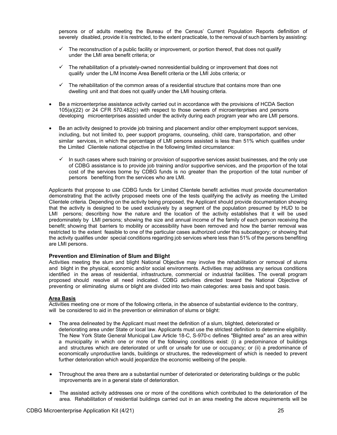persons or of adults meeting the Bureau of the Census' Current Population Reports definition of severely disabled, provide it is restricted, to the extent practicable, to the removal of such barriers by assisting:

- $\checkmark$  The reconstruction of a public facility or improvement, or portion thereof, that does not qualify under the LMI area benefit criteria; or
- $\checkmark$  The rehabilitation of a privately-owned nonresidential building or improvement that does not qualify under the L/M Income Area Benefit criteria or the LMI Jobs criteria; or
- $\checkmark$  The rehabilitation of the common areas of a residential structure that contains more than one dwelling unit and that does not qualify under the LMI housing criteria.
- Be a microenterprise assistance activity carried out in accordance with the provisions of HCDA Section 105(a)(22) or 24 CFR 570.482(c) with respect to those owners of microenterprises and persons developing microenterprises assisted under the activity during each program year who are LMI persons.
- Be an activity designed to provide job training and placement and/or other employment support services, including, but not limited to, peer support programs, counseling, child care, transportation, and other similar services, in which the percentage of LMI persons assisted is less than 51% which qualifies under the Limited Clientele national objective in the following limited circumstance:
	- $\checkmark$  In such cases where such training or provision of supportive services assist businesses, and the only use of CDBG assistance is to provide job training and/or supportive services, and the proportion of the total cost of the services borne by CDBG funds is no greater than the proportion of the total number of persons benefiting from the services who are LMI.

Applicants that propose to use CDBG funds for Limited Clientele benefit activities must provide documentation demonstrating that the activity proposed meets one of the tests qualifying the activity as meeting the Limited Clientele criteria. Depending on the activity being proposed, the Applicant should provide documentation showing that the activity is designed to be used exclusively by a segment of the population presumed by HUD to be LMI persons; describing how the nature and the location of the activity establishes that it will be used predominately by LMI persons; showing the size and annual income of the family of each person receiving the benefit; showing that barriers to mobility or accessibility have been removed and how the barrier removal was restricted to the extent feasible to one of the particular cases authorized under this subcategory; or showing that the activity qualifies under special conditions regarding job services where less than 51% of the persons benefiting are LMI persons.

#### **Prevention and Elimination of Slum and Blight**

Activities meeting the slum and blight National Objective may involve the rehabilitation or removal of slums and blight in the physical, economic and/or social environments. Activities may address any serious conditions identified in the areas of residential, infrastructure, commercial or industrial facilities. The overall program proposed should resolve all need indicated. CDBG activities directed toward the National Objective of preventing or eliminating slums or blight are divided into two main categories: area basis and spot basis.

#### **Area Basis**

Activities meeting one or more of the following criteria, in the absence of substantial evidence to the contrary, will be considered to aid in the prevention or elimination of slums or blight:

- The area delineated by the Applicant must meet the definition of a slum, blighted, deteriorated or deteriorating area under State or local law. Applicants must use the strictest definition to determine eligibility. The New York State General Municipal Law Article 18-C, S-970-c defines "Blighted area" as an area within a municipality in which one or more of the following conditions exist: (i) a predominance of buildings and structures which are deteriorated or unfit or unsafe for use or occupancy; or (ii) a predominance of economically unproductive lands, buildings or structures, the redevelopment of which is needed to prevent further deterioration which would jeopardize the economic wellbeing of the people.
- Throughout the area there are a substantial number of deteriorated or deteriorating buildings or the public improvements are in a general state of deterioration.
- The assisted activity addresses one or more of the conditions which contributed to the deterioration of the area. Rehabilitation of residential buildings carried out in an area meeting the above requirements will be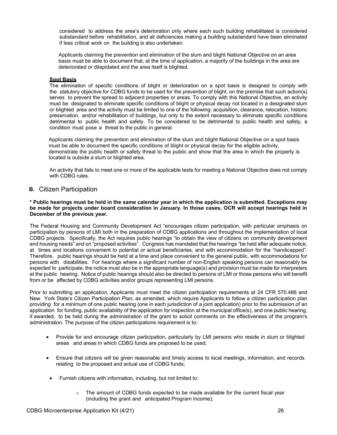considered to address the area's deterioration only where each such building rehabilitated is considered substandard before rehabilitation, and all deficiencies making a building substandard have been eliminated if less critical work on the building is also undertaken.

Applicants claiming the prevention and elimination of the slum and blight National Objective on an area basis must be able to document that, at the time of application, a majority of the buildings in the area are deteriorated or dilapidated and the area itself is blighted.

#### **Spot Basis**

The elimination of specific conditions of blight or deterioration on a spot basis is designed to comply with the statutory objective for CDBG funds to be used for the prevention of blight, on the premise that such action(s) serves to prevent the spread to adjacent properties or areas. To comply with this National Objective, an activity must be designated to eliminate specific conditions of blight or physical decay not located in a designated slum or blighted area and the activity must be limited to one of the following: acquisition, clearance, relocation, historic preservation, and/or rehabilitation of buildings, but only to the extent necessary to eliminate specific conditions detrimental to public health and safety. To be considered to be detrimental to public health and safety, a condition must pose a threat to the public in general.

Applicants claiming the prevention and elimination of the slum and blight National Objective on a spot basis must be able to document the specific conditions of blight or physical decay for the eligible activity, demonstrate the public health or safety threat to the public and show that the area in which the property is located is outside a slum or blighted area.

An activity that fails to meet one or more of the applicable tests for meeting a National Objective does not comply with CDBG rules.

#### <span id="page-27-0"></span>**B.** Citizen Participation

**\* Public hearings must be held in the same calendar year in which the application is submitted. Exceptions may be made for projects under board consideration in January. In those cases, OCR will accept hearings held in December of the previous year.**

The Federal Housing and Community Development Act "encourages citizen participation, with particular emphasis on participation by persons of LMI both in the preparation of CDBG applications and throughout the implementation of local CDBG projects. Specifically, the Act requires public hearings "to obtain the view of citizens on community development and housing needs" and on "proposed activities". Congress has mandated that the hearings "be held after adequate notice, at times and locations convenient to potential or actual beneficiaries, and with accommodation for the "handicapped". Therefore, public hearings should be held at a time and place convenient to the general public, with accommodations for persons with disabilities. For hearings where a significant number of non-English speaking persons can reasonably be expected to participate, the notice must also be in the appropriate language(s) and provision must be made for interpreters at the public hearing. Notice of public hearings should also be directed to persons of LMI or those persons who will benefit from or be affected by CDBG activities and/or groups representing LMI persons.

Prior to submitting an application, Applicants must meet the citizen participation requirements at 24 CFR 570.486 and New York State's Citizen Participation Plan, as amended, which require Applicants to follow a citizen participation plan providing for a minimum of one public hearing (one in each jurisdiction of a joint application) prior to the submission of an application for funding, public availability of the application for inspection at the municipal office(s), and one public hearing, if awarded, to be held during the administration of the grant to solicit comments on the effectiveness of the program's administration. The purpose of the citizen participations requirement is to:

- Provide for and encourage citizen participation, particularly by LMI persons who reside in slum or blighted areas and areas in which CDBG funds are proposed to be used;
- Ensure that citizens will be given reasonable and timely access to local meetings, information, and records relating to the proposed and actual use of CDBG funds;
- Furnish citizens with information, including, but not limited to:
	- $\circ$  The amount of CDBG funds expected to be made available for the current fiscal year (including the grant and anticipated Program Income);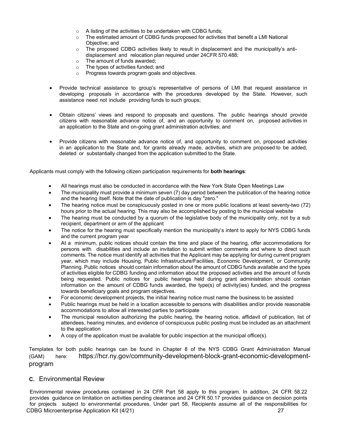- o A listing of the activities to be undertaken with CDBG funds;
- $\circ$  The estimated amount of CDBG funds proposed for activities that benefit a LMI National Objective; and
- $\circ$  The proposed CDBG activities likely to result in displacement and the municipality's antidisplacement and relocation plan required under 24CFR 570.488;
- o The amount of funds awarded;
- o The types of activities funded; and
- o Progress towards program goals and objectives.
- Provide technical assistance to group's representative of persons of LMI that request assistance in developing proposals in accordance with the procedures developed by the State. However, such assistance need not include providing funds to such groups;
- Obtain citizens' views and respond to proposals and questions. The public hearings should provide citizens with reasonable advance notice of, and an opportunity to comment on, proposed activities in an application to the State and on-going grant administration activities; and
- Provide citizens with reasonable advance notice of, and opportunity to comment on, proposed activities in an application to the State and, for grants already made, activities, which are proposed to be added, deleted or substantially changed from the application submitted to the State.

Applicants must comply with the following citizen participation requirements for **both hearings**:

- All hearings must also be conducted in accordance with the New York State Open Meetings Law
- The municipality must provide a minimum seven (7) day period between the publication of the hearing notice and the hearing itself. Note that the date of publication is day "zero."
- The hearing notice must be conspicuously posted in one or more public locations at least seventy-two (72) hours prior to the actual hearing. This may also be accomplished by posting to the municipal website
- The hearing must be conducted by a quorum of the legislative body of the municipality only, not by a sub recipient, department or arm of the applicant
- The notice for the hearing must specifically mention the municipality's intent to apply for NYS CDBG funds and the current program year
- At a minimum, public notices should contain the time and place of the hearing, offer accommodations for persons with disabilities and include an invitation to submit written comments and where to direct such comments. The notice must identify all activities that the Applicant may be applying for during current program year, which may include Housing, Public Infrastructure/Facilities, Economic Development, or Community Planning. Public notices should contain information about the amount of CDBG funds available and the types of activities eligible for CDBG funding and information about the proposed activities and the amount of funds being requested. Public notices for public hearings held during grant administration should contain information on the amount of CDBG funds awarded, the type(s) of activity(ies) funded, and the progress towards beneficiary goals and program objectives.
- For economic development projects, the initial hearing notice must name the business to be assisted
- Public hearings must be held in a location accessible to persons with disabilities and/or provide reasonable accommodations to allow all interested parties to participate
- The municipal resolution authorizing the public hearing, the hearing notice, affidavit of publication, list of attendees, hearing minutes, and evidence of conspicuous public posting must be included as an attachment to the application
- A copy of the application must be available for public inspection at the municipal office(s).

Templates for both public hearings can be found in Chapter 8 of the NYS CDBG Grant Administration Manual (GAM) here: https://hcr.ny.gov/community-development-block-grant-economic-developmentprogram

## <span id="page-28-0"></span>**C.** Environmental Review

CDBG Microenterprise Application Kit (4/21) 27 Environmental review procedures contained in 24 CFR Part 58 apply to this program. In addition, 24 CFR 58.22 provides guidance on limitation on activities pending clearance and 24 CFR 50.17 provides guidance on decision points for projects subject to environmental procedures. Under part 58, Recipients assume all of the responsibilities for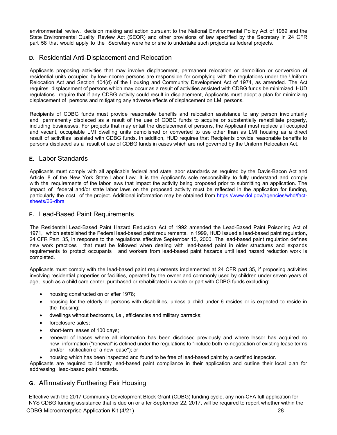environmental review, decision making and action pursuant to the National Environmental Policy Act of 1969 and the State Environmental Quality Review Act (SEQR) and other provisions of law specified by the Secretary in 24 CFR part 58 that would apply to the Secretary were he or she to undertake such projects as federal projects.

## <span id="page-29-0"></span>**D.** Residential Anti-Displacement and Relocation

Applicants proposing activities that may involve displacement, permanent relocation or demolition or conversion of residential units occupied by low-income persons are responsible for complying with the regulations under the Uniform Relocation Act and Section 104(d) of the Housing and Community Development Act of 1974, as amended. The Act requires displacement of persons which may occur as a result of activities assisted with CDBG funds be minimized. HUD regulations require that if any CDBG activity could result in displacement, Applicants must adopt a plan for minimizing displacement of persons and mitigating any adverse effects of displacement on LMI persons.

Recipients of CDBG funds must provide reasonable benefits and relocation assistance to any person involuntarily and permanently displaced as a result of the use of CDBG funds to acquire or substantially rehabilitate property, including businesses. For projects that may entail the displacement of persons, the Applicant must replace all occupied and vacant, occupiable LMI dwelling units demolished or converted to use other than as LMI housing as a direct result of activities assisted with CDBG funds. In addition, HUD requires that Recipients provide reasonable benefits to persons displaced as a result of use of CDBG funds in cases which are not governed by the Uniform Relocation Act.

## <span id="page-29-1"></span>**E.** Labor Standards

Applicants must comply with all applicable federal and state labor standards as required by the Davis-Bacon Act and Article 8 of the New York State Labor Law. It is the Applicant's sole responsibility to fully understand and comply with the requirements of the labor laws that impact the activity being proposed prior to submitting an application. The impact of federal and/or state labor laws on the proposed activity must be reflected in the application for funding, particularly the cost of the project. Additional information may be obtained from [https://www.dol.gov/agencies/whd/fact](https://www.dol.gov/agencies/whd/fact-sheets/66-dbra)[sheets/66-dbra](https://www.dol.gov/agencies/whd/fact-sheets/66-dbra)

## <span id="page-29-2"></span>**F.** Lead-Based Paint Requirements

The Residential Lead-Based Paint Hazard Reduction Act of 1992 amended the Lead-Based Paint Poisoning Act of 1971, which established the Federal lead-based paint requirements. In 1999, HUD issued a lead-based paint regulation**,**  24 CFR Part 35, in response to the regulations effective September 15, 2000. The lead-based paint regulation defines new work practices that must be followed when dealing with lead-based paint in older structures and expands requirements to protect occupants and workers from lead-based paint hazards until lead hazard reduction work is completed.

Applicants must comply with the lead-based paint requirements implemented at 24 CFR part 35, if proposing activities involving residential properties or facilities, operated by the owner and commonly used by children under seven years of age, such as a child care center, purchased or rehabilitated in whole or part with CDBG funds excluding:

- housing constructed on or after 1978;
- housing for the elderly or persons with disabilities, unless a child under 6 resides or is expected to reside in the housing;
- dwellings without bedrooms, i.e., efficiencies and military barracks;
- foreclosure sales;
- short-term leases of 100 days;
- renewal of leases where all information has been disclosed previously and where lessor has acquired no new information ("renewal" is defined under the regulations to "include both re-negotiation of existing lease terms and/or ratification of a new lease"); or
- housing which has been inspected and found to be free of lead-based paint by a certified inspector.

Applicants are required to identify lead-based paint compliance in their application and outline their local plan for addressing lead-based paint hazards.

## <span id="page-29-3"></span>**G.** Affirmatively Furthering Fair Housing

Effective with the 2017 Community Development Block Grant (CDBG) funding cycle, any non-CFA full application for NYS CDBG funding assistance that is due on or after September 22, 2017, will be required to report whether within the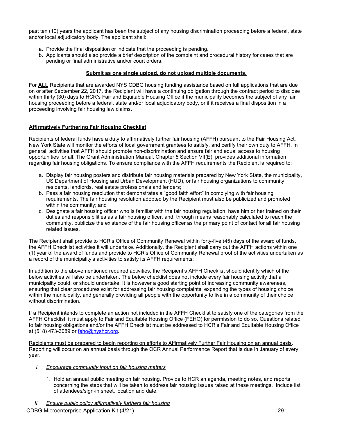past ten (10) years the applicant has been the subject of any housing discrimination proceeding before a federal, state and/or local adjudicatory body. The applicant shall:

- a. Provide the final disposition or indicate that the proceeding is pending.
- b. Applicants should also provide a brief description of the complaint and procedural history for cases that are pending or final administrative and/or court orders.

#### **Submit as one single upload, do not upload multiple documents.**

For **ALL** Recipients that are awarded NYS CDBG housing funding assistance based on full applications that are due on or after September 22, 2017, the Recipient will have a continuing obligation through the contract period to disclose within thirty (30) days to HCR's Fair and Equitable Housing Office if the municipality becomes the subject of any fair housing proceeding before a federal, state and/or local adjudicatory body, or if it receives a final disposition in a proceeding involving fair housing law claims.

## **Affirmatively Furthering Fair Housing Checklist**

Recipients of federal funds have a duty to affirmatively further fair housing (AFFH) pursuant to the Fair Housing Act. New York State will monitor the efforts of local government grantees to satisfy, and certify their own duty to AFFH. In general, activities that AFFH should promote non-discrimination and ensure fair and equal access to housing opportunities for all. The Grant Administration Manual, Chapter 5 Section VII(E), provides additional information regarding fair housing obligations. To ensure compliance with the AFFH requirements the Recipient is required to:

- a. Display fair housing posters and distribute fair housing materials prepared by New York State, the municipality, US Department of Housing and Urban Development (HUD), or fair housing organizations to community residents, landlords, real estate professionals and lenders;
- b. Pass a fair housing resolution that demonstrates a "good faith effort" in complying with fair housing requirements. The fair housing resolution adopted by the Recipient must also be publicized and promoted within the community; and
- c. Designate a fair housing officer who is familiar with the fair housing regulation, have him or her trained on their duties and responsibilities as a fair housing officer, and, through means reasonably calculated to reach the community, publicize the existence of the fair housing officer as the primary point of contact for all fair housing related issues.

The Recipient shall provide to HCR's Office of Community Renewal within forty-five (45) days of the award of funds, the AFFH Checklist activities it will undertake. Additionally, the Recipient shall carry out the AFFH actions within one (1) year of the award of funds and provide to HCR's Office of Community Renewal proof of the activities undertaken as a record of the municipality's activities to satisfy its AFFH requirements.

In addition to the abovementioned required activities, the Recipient's AFFH Checklist should identify which of the below activities will also be undertaken. The below checklist does not include every fair housing activity that a municipality could, or should undertake. It is however a good starting point of increasing community awareness, ensuring that clear procedures exist for addressing fair housing complaints, expanding the types of housing choice within the municipality, and generally providing all people with the opportunity to live in a community of their choice without discrimination.

If a Recipient intends to complete an action not included in the AFFH Checklist to satisfy one of the categories from the AFFH Checklist, it must apply to Fair and Equitable Housing Office (FEHO) for permission to do so. Questions related to fair housing obligations and/or the AFFH Checklist must be addressed to HCR's Fair and Equitable Housing Office at (518) 473-3089 or [feho@nyshcr.org.](mailto:feho@nyshcr.org)

Recipients must be prepared to begin reporting on efforts to Affirmatively Further Fair Housing on an annual basis. Reporting will occur on an annual basis through the OCR Annual Performance Report that is due in January of every year.

- *I. Encourage community input on fair housing matters*
	- 1. Hold an annual public meeting on fair housing. Provide to HCR an agenda, meeting notes, and reports concerning the steps that will be taken to address fair housing issues raised at these meetings. Include list of attendees/sign-in sheet, location and date.
- *II. Ensure public policy affirmatively furthers fair housing*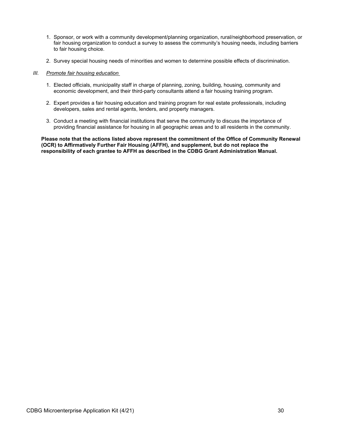- 1. Sponsor, or work with a community development/planning organization, rural/neighborhood preservation, or fair housing organization to conduct a survey to assess the community's housing needs, including barriers to fair housing choice.
- 2. Survey special housing needs of minorities and women to determine possible effects of discrimination.
- *III. Promote fair housing education* 
	- 1. Elected officials, municipality staff in charge of planning, zoning, building, housing, community and economic development, and their third-party consultants attend a fair housing training program.
	- 2. Expert provides a fair housing education and training program for real estate professionals, including developers, sales and rental agents, lenders, and property managers.
	- 3. Conduct a meeting with financial institutions that serve the community to discuss the importance of providing financial assistance for housing in all geographic areas and to all residents in the community.

**Please note that the actions listed above represent the commitment of the Office of Community Renewal (OCR) to Affirmatively Further Fair Housing (AFFH), and supplement, but do not replace the responsibility of each grantee to AFFH as described in the CDBG Grant Administration Manual.**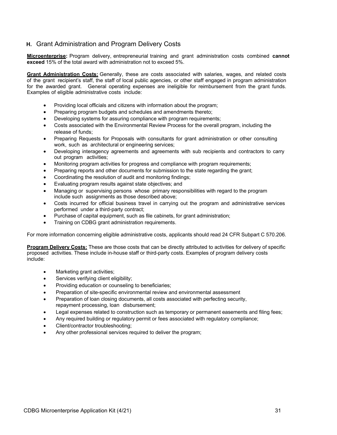## <span id="page-32-0"></span>**H.** Grant Administration and Program Delivery Costs

**Microenterprise:** Program delivery, entrepreneurial training and grant administration costs combined **cannot exceed** 15% of the total award with administration not to exceed 5%.

**Grant Administration Costs:** Generally, these are costs associated with salaries, wages, and related costs of the grant recipient's staff, the staff of local public agencies, or other staff engaged in program administration for the awarded grant. General operating expenses are ineligible for reimbursement from the grant funds. Examples of eligible administrative costs include:

- Providing local officials and citizens with information about the program;
- Preparing program budgets and schedules and amendments thereto;
- Developing systems for assuring compliance with program requirements;
- Costs associated with the Environmental Review Process for the overall program, including the release of funds;
- Preparing Requests for Proposals with consultants for grant administration or other consulting work, such as architectural or engineering services;
- Developing interagency agreements and agreements with sub recipients and contractors to carry out program activities;
- Monitoring program activities for progress and compliance with program requirements;
- Preparing reports and other documents for submission to the state regarding the grant;
- Coordinating the resolution of audit and monitoring findings;
- Evaluating program results against state objectives; and
- Managing or supervising persons whose primary responsibilities with regard to the program include such assignments as those described above;
- Costs incurred for official business travel in carrying out the program and administrative services performed under a third-party contract;
- Purchase of capital equipment, such as file cabinets, for grant administration;
- Training on CDBG grant administration requirements.

For more information concerning eligible administrative costs, applicants should read 24 CFR Subpart C 570.206.

**Program Delivery Costs:** These are those costs that can be directly attributed to activities for delivery of specific proposed activities. These include in-house staff or third-party costs. Examples of program delivery costs include:

- Marketing grant activities;
- Services verifying client eligibility;
- Providing education or counseling to beneficiaries;
- Preparation of site-specific environmental review and environmental assessment
- Preparation of loan closing documents, all costs associated with perfecting security, repayment processing, loan disbursement;
- Legal expenses related to construction such as temporary or permanent easements and filing fees;
- Any required building or regulatory permit or fees associated with regulatory compliance;
- Client/contractor troubleshooting;
- Any other professional services required to deliver the program;